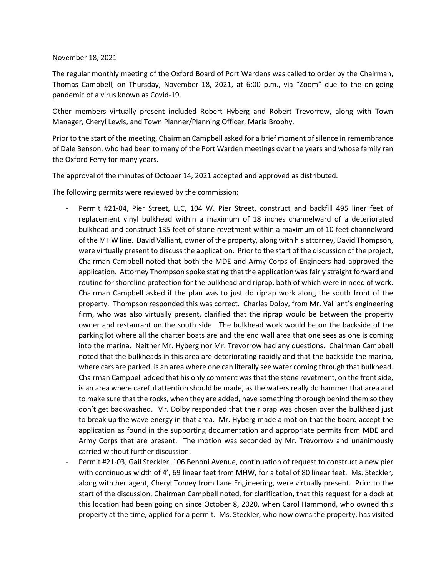## November 18, 2021

The regular monthly meeting of the Oxford Board of Port Wardens was called to order by the Chairman, Thomas Campbell, on Thursday, November 18, 2021, at 6:00 p.m., via "Zoom" due to the on-going pandemic of a virus known as Covid-19.

Other members virtually present included Robert Hyberg and Robert Trevorrow, along with Town Manager, Cheryl Lewis, and Town Planner/Planning Officer, Maria Brophy.

Prior to the start of the meeting, Chairman Campbell asked for a brief moment of silence in remembrance of Dale Benson, who had been to many of the Port Warden meetings over the years and whose family ran the Oxford Ferry for many years.

The approval of the minutes of October 14, 2021 accepted and approved as distributed.

The following permits were reviewed by the commission:

- Permit #21-04, Pier Street, LLC, 104 W. Pier Street, construct and backfill 495 liner feet of replacement vinyl bulkhead within a maximum of 18 inches channelward of a deteriorated bulkhead and construct 135 feet of stone revetment within a maximum of 10 feet channelward of the MHW line. David Valliant, owner of the property, along with his attorney, David Thompson, were virtually present to discuss the application. Prior to the start of the discussion of the project, Chairman Campbell noted that both the MDE and Army Corps of Engineers had approved the application. Attorney Thompson spoke stating that the application was fairly straight forward and routine for shoreline protection for the bulkhead and riprap, both of which were in need of work. Chairman Campbell asked if the plan was to just do riprap work along the south front of the property. Thompson responded this was correct. Charles Dolby, from Mr. Valliant's engineering firm, who was also virtually present, clarified that the riprap would be between the property owner and restaurant on the south side. The bulkhead work would be on the backside of the parking lot where all the charter boats are and the end wall area that one sees as one is coming into the marina. Neither Mr. Hyberg nor Mr. Trevorrow had any questions. Chairman Campbell noted that the bulkheads in this area are deteriorating rapidly and that the backside the marina, where cars are parked, is an area where one can literally see water coming through that bulkhead. Chairman Campbell added that his only comment was that the stone revetment, on the front side, is an area where careful attention should be made, as the waters really do hammer that area and to make sure that the rocks, when they are added, have something thorough behind them so they don't get backwashed. Mr. Dolby responded that the riprap was chosen over the bulkhead just to break up the wave energy in that area. Mr. Hyberg made a motion that the board accept the application as found in the supporting documentation and appropriate permits from MDE and Army Corps that are present. The motion was seconded by Mr. Trevorrow and unanimously carried without further discussion.
- Permit #21-03, Gail Steckler, 106 Benoni Avenue, continuation of request to construct a new pier with continuous width of 4', 69 linear feet from MHW, for a total of 80 linear feet. Ms. Steckler, along with her agent, Cheryl Tomey from Lane Engineering, were virtually present. Prior to the start of the discussion, Chairman Campbell noted, for clarification, that this request for a dock at this location had been going on since October 8, 2020, when Carol Hammond, who owned this property at the time, applied for a permit. Ms. Steckler, who now owns the property, has visited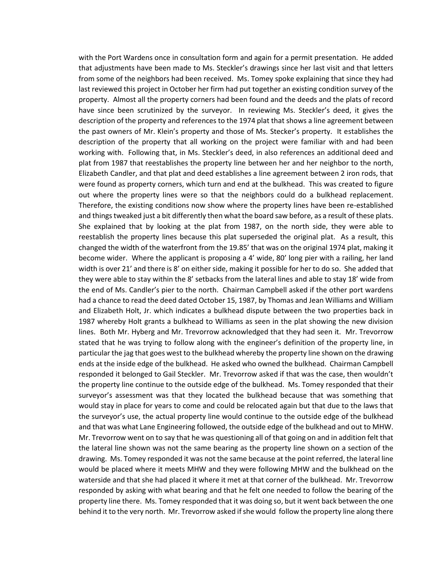with the Port Wardens once in consultation form and again for a permit presentation. He added that adjustments have been made to Ms. Steckler's drawings since her last visit and that letters from some of the neighbors had been received. Ms. Tomey spoke explaining that since they had last reviewed this project in October her firm had put together an existing condition survey of the property. Almost all the property corners had been found and the deeds and the plats of record have since been scrutinized by the surveyor. In reviewing Ms. Steckler's deed, it gives the description of the property and references to the 1974 plat that shows a line agreement between the past owners of Mr. Klein's property and those of Ms. Stecker's property. It establishes the description of the property that all working on the project were familiar with and had been working with. Following that, in Ms. Steckler's deed, in also references an additional deed and plat from 1987 that reestablishes the property line between her and her neighbor to the north, Elizabeth Candler, and that plat and deed establishes a line agreement between 2 iron rods, that were found as property corners, which turn and end at the bulkhead. This was created to figure out where the property lines were so that the neighbors could do a bulkhead replacement. Therefore, the existing conditions now show where the property lines have been re-established and things tweaked just a bit differently then what the board saw before, as a result of these plats. She explained that by looking at the plat from 1987, on the north side, they were able to reestablish the property lines because this plat superseded the original plat. As a result, this changed the width of the waterfront from the 19.85' that was on the original 1974 plat, making it become wider. Where the applicant is proposing a 4' wide, 80' long pier with a railing, her land width is over 21' and there is 8' on either side, making it possible for her to do so. She added that they were able to stay within the 8' setbacks from the lateral lines and able to stay 18' wide from the end of Ms. Candler's pier to the north. Chairman Campbell asked if the other port wardens had a chance to read the deed dated October 15, 1987, by Thomas and Jean Williams and William and Elizabeth Holt, Jr. which indicates a bulkhead dispute between the two properties back in 1987 whereby Holt grants a bulkhead to Williams as seen in the plat showing the new division lines. Both Mr. Hyberg and Mr. Trevorrow acknowledged that they had seen it. Mr. Trevorrow stated that he was trying to follow along with the engineer's definition of the property line, in particular the jag that goes west to the bulkhead whereby the property line shown on the drawing ends at the inside edge of the bulkhead. He asked who owned the bulkhead. Chairman Campbell responded it belonged to Gail Steckler. Mr. Trevorrow asked if that was the case, then wouldn't the property line continue to the outside edge of the bulkhead. Ms. Tomey responded that their surveyor's assessment was that they located the bulkhead because that was something that would stay in place for years to come and could be relocated again but that due to the laws that the surveyor's use, the actual property line would continue to the outside edge of the bulkhead and that was what Lane Engineering followed, the outside edge of the bulkhead and out to MHW. Mr. Trevorrow went on to say that he was questioning all of that going on and in addition felt that the lateral line shown was not the same bearing as the property line shown on a section of the drawing. Ms. Tomey responded it was not the same because at the point referred, the lateral line would be placed where it meets MHW and they were following MHW and the bulkhead on the waterside and that she had placed it where it met at that corner of the bulkhead. Mr. Trevorrow responded by asking with what bearing and that he felt one needed to follow the bearing of the property line there. Ms. Tomey responded that it was doing so, but it went back between the one behind it to the very north. Mr. Trevorrow asked if she would follow the property line along there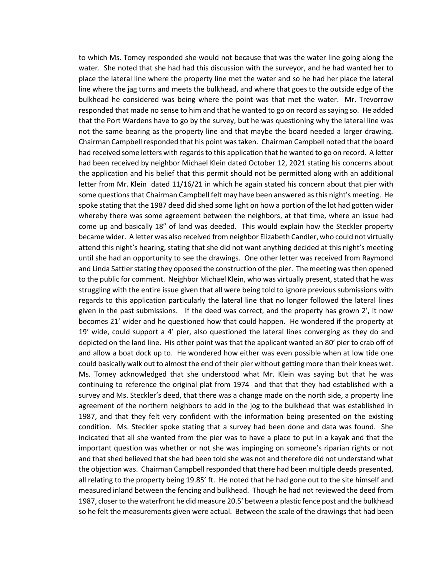to which Ms. Tomey responded she would not because that was the water line going along the water. She noted that she had had this discussion with the surveyor, and he had wanted her to place the lateral line where the property line met the water and so he had her place the lateral line where the jag turns and meets the bulkhead, and where that goes to the outside edge of the bulkhead he considered was being where the point was that met the water. Mr. Trevorrow responded that made no sense to him and that he wanted to go on record as saying so. He added that the Port Wardens have to go by the survey, but he was questioning why the lateral line was not the same bearing as the property line and that maybe the board needed a larger drawing. Chairman Campbell responded that his point was taken. Chairman Campbell noted that the board had received some letters with regards to this application that he wanted to go on record. A letter had been received by neighbor Michael Klein dated October 12, 2021 stating his concerns about the application and his belief that this permit should not be permitted along with an additional letter from Mr. Klein dated 11/16/21 in which he again stated his concern about that pier with some questions that Chairman Campbell felt may have been answered as this night's meeting. He spoke stating that the 1987 deed did shed some light on how a portion of the lot had gotten wider whereby there was some agreement between the neighbors, at that time, where an issue had come up and basically 18" of land was deeded. This would explain how the Steckler property became wider. A letter was also received from neighbor Elizabeth Candler, who could not virtually attend this night's hearing, stating that she did not want anything decided at this night's meeting until she had an opportunity to see the drawings. One other letter was received from Raymond and Linda Sattler stating they opposed the construction of the pier. The meeting was then opened to the public for comment. Neighbor Michael Klein, who was virtually present, stated that he was struggling with the entire issue given that all were being told to ignore previous submissions with regards to this application particularly the lateral line that no longer followed the lateral lines given in the past submissions. If the deed was correct, and the property has grown 2', it now becomes 21' wider and he questioned how that could happen. He wondered if the property at 19' wide, could support a 4' pier, also questioned the lateral lines converging as they do and depicted on the land line. His other point was that the applicant wanted an 80' pier to crab off of and allow a boat dock up to. He wondered how either was even possible when at low tide one could basically walk out to almost the end of their pier without getting more than their knees wet. Ms. Tomey acknowledged that she understood what Mr. Klein was saying but that he was continuing to reference the original plat from 1974 and that that they had established with a survey and Ms. Steckler's deed, that there was a change made on the north side, a property line agreement of the northern neighbors to add in the jog to the bulkhead that was established in 1987, and that they felt very confident with the information being presented on the existing condition. Ms. Steckler spoke stating that a survey had been done and data was found. She indicated that all she wanted from the pier was to have a place to put in a kayak and that the important question was whether or not she was impinging on someone's riparian rights or not and that shed believed that she had been told she was not and therefore did not understand what the objection was. Chairman Campbell responded that there had been multiple deeds presented, all relating to the property being 19.85' ft. He noted that he had gone out to the site himself and measured inland between the fencing and bulkhead. Though he had not reviewed the deed from 1987, closer to the waterfront he did measure 20.5' between a plastic fence post and the bulkhead so he felt the measurements given were actual. Between the scale of the drawings that had been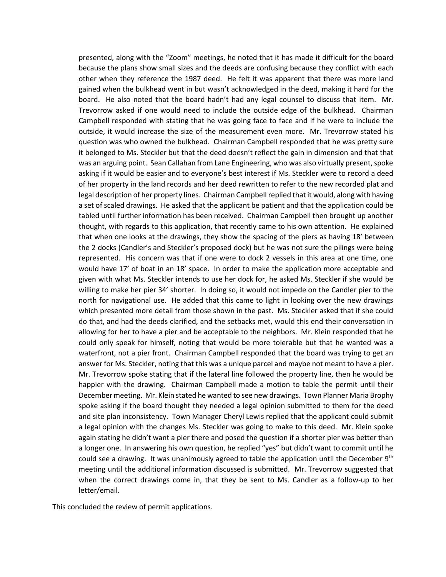presented, along with the "Zoom" meetings, he noted that it has made it difficult for the board because the plans show small sizes and the deeds are confusing because they conflict with each other when they reference the 1987 deed. He felt it was apparent that there was more land gained when the bulkhead went in but wasn't acknowledged in the deed, making it hard for the board. He also noted that the board hadn't had any legal counsel to discuss that item. Mr. Trevorrow asked if one would need to include the outside edge of the bulkhead. Chairman Campbell responded with stating that he was going face to face and if he were to include the outside, it would increase the size of the measurement even more. Mr. Trevorrow stated his question was who owned the bulkhead. Chairman Campbell responded that he was pretty sure it belonged to Ms. Steckler but that the deed doesn't reflect the gain in dimension and that that was an arguing point. Sean Callahan from Lane Engineering, who was also virtually present, spoke asking if it would be easier and to everyone's best interest if Ms. Steckler were to record a deed of her property in the land records and her deed rewritten to refer to the new recorded plat and legal description of her property lines. Chairman Campbell replied that it would, along with having a set of scaled drawings. He asked that the applicant be patient and that the application could be tabled until further information has been received. Chairman Campbell then brought up another thought, with regards to this application, that recently came to his own attention. He explained that when one looks at the drawings, they show the spacing of the piers as having 18' between the 2 docks (Candler's and Steckler's proposed dock) but he was not sure the pilings were being represented. His concern was that if one were to dock 2 vessels in this area at one time, one would have 17' of boat in an 18' space. In order to make the application more acceptable and given with what Ms. Steckler intends to use her dock for, he asked Ms. Steckler if she would be willing to make her pier 34' shorter. In doing so, it would not impede on the Candler pier to the north for navigational use. He added that this came to light in looking over the new drawings which presented more detail from those shown in the past. Ms. Steckler asked that if she could do that, and had the deeds clarified, and the setbacks met, would this end their conversation in allowing for her to have a pier and be acceptable to the neighbors. Mr. Klein responded that he could only speak for himself, noting that would be more tolerable but that he wanted was a waterfront, not a pier front. Chairman Campbell responded that the board was trying to get an answer for Ms. Steckler, noting that this was a unique parcel and maybe not meant to have a pier. Mr. Trevorrow spoke stating that if the lateral line followed the property line, then he would be happier with the drawing. Chairman Campbell made a motion to table the permit until their December meeting. Mr. Klein stated he wanted to see new drawings. Town Planner Maria Brophy spoke asking if the board thought they needed a legal opinion submitted to them for the deed and site plan inconsistency. Town Manager Cheryl Lewis replied that the applicant could submit a legal opinion with the changes Ms. Steckler was going to make to this deed. Mr. Klein spoke again stating he didn't want a pier there and posed the question if a shorter pier was better than a longer one. In answering his own question, he replied "yes" but didn't want to commit until he could see a drawing. It was unanimously agreed to table the application until the December  $9<sup>th</sup>$ meeting until the additional information discussed is submitted. Mr. Trevorrow suggested that when the correct drawings come in, that they be sent to Ms. Candler as a follow-up to her letter/email.

This concluded the review of permit applications.